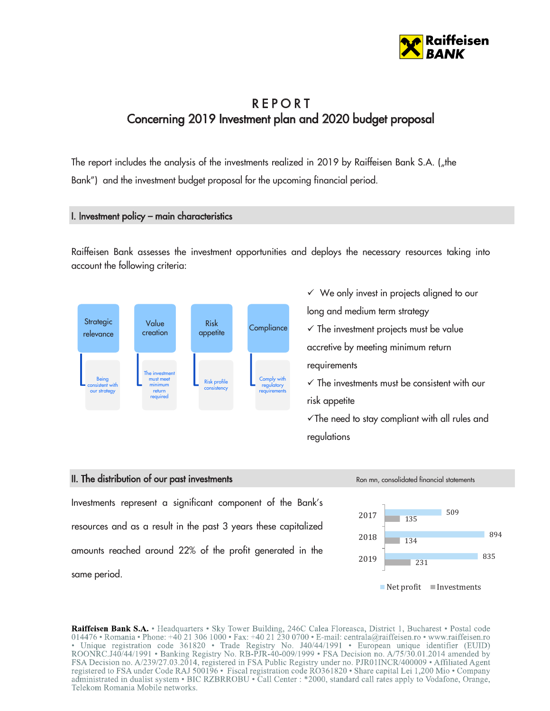

# **REPORT** Concerning 2019 Investment plan and 2020 budget proposal

The report includes the analysis of the investments realized in 2019 by Raiffeisen Bank S.A. (the Bank") and the investment budget proposal for the upcoming financial period.

### I. Investment policy – main characteristics

Raiffeisen Bank assesses the investment opportunities and deploys the necessary resources taking into account the following criteria:



 $\checkmark$  We only invest in projects aligned to our long and medium term strategy  $\checkmark$  The investment projects must be value accretive by meeting minimum return requirements  $\checkmark$  The investments must be consistent with our risk appetite

 $\checkmark$  The need to stay compliant with all rules and regulations

### II. The distribution of our past investments and the statements Ron mn, consolidated financial statements

Investments represent a significant component of the Bank's resources and as a result in the past 3 years these capitalized amounts reached around 22% of the profit generated in the same period.



Raiffeisen Bank S.A. • Headquarters • Sky Tower Building, 246C Calea Floreasca, District 1, Bucharest • Postal code 014476 • Romania • Phone: +40 21 306 1000 • Fax: +40 21 230 0700 • E-mail: centrala@raiffeisen.ro • www.raiffeisen.ro · Unique registration code 361820 · Trade Registry No. J40/44/1991 · European unique identifier (EUID) ROONRC.J40/44/1991 • Banking Registry No. RB-PJR-40-009/1999 • FSA Decision no. A/75/30.01.2014 amended by FSA Decision no. A/239/27.03.2014, registered in FSA Public Registry under no. PJR01INCR/400009 • Affiliated Agent registered to FSA under Code RAJ 500196 • Fiscal registration code RO361820 • Share capital Lei 1,200 Mio • Company administrated in dualist system • BIC RZBRROBU • Call Center : \*2000, standard call rates apply to Vodafone, Orange, Telekom Romania Mobile networks.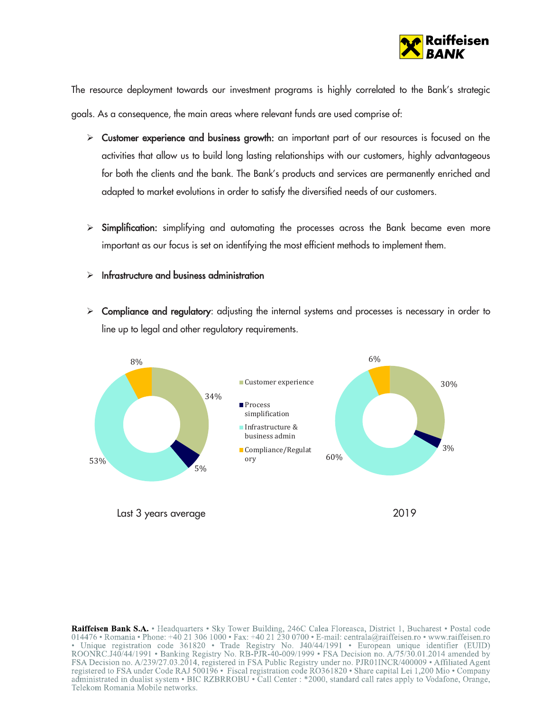

The resource deployment towards our investment programs is highly correlated to the Bank's strategic goals. As a consequence, the main areas where relevant funds are used comprise of:

- > Customer experience and business growth: an important part of our resources is focused on the activities that allow us to build long lasting relationships with our customers, highly advantageous for both the clients and the bank. The Bank's products and services are permanently enriched and adapted to market evolutions in order to satisfy the diversified needs of our customers.
- $\triangleright$  Simplification: simplifying and automating the processes across the Bank became even more important as our focus is set on identifying the most efficient methods to implement them.
- $\triangleright$  Infrastructure and business administration
- $\triangleright$  Compliance and regulatory: adjusting the internal systems and processes is necessary in order to line up to legal and other regulatory requirements.



Raiffeisen Bank S.A. • Headquarters • Sky Tower Building, 246C Calea Floreasca, District 1, Bucharest • Postal code 014476 • Romania • Phone: +40 21 306 1000 • Fax: +40 21 230 0700 • E-mail: centrala@raiffeisen.ro • www.raiffeisen.ro · Unique registration code 361820 · Trade Registry No. J40/44/1991 · European unique identifier (EUID) ROONRC.J40/44/1991 • Banking Registry No. RB-PJR-40-009/1999 • FSA Decision no. A/75/30.01.2014 amended by FSA Decision no. A/239/27.03.2014, registered in FSA Public Registry under no. PJR01INCR/400009 • Affiliated Agent registered to FSA under Code RAJ 500196 • Fiscal registration code RO361820 • Share capital Lei 1,200 Mio • Company administrated in dualist system • BIC RZBRROBU • Call Center : \*2000, standard call rates apply to Vodafone, Orange, Telekom Romania Mobile networks.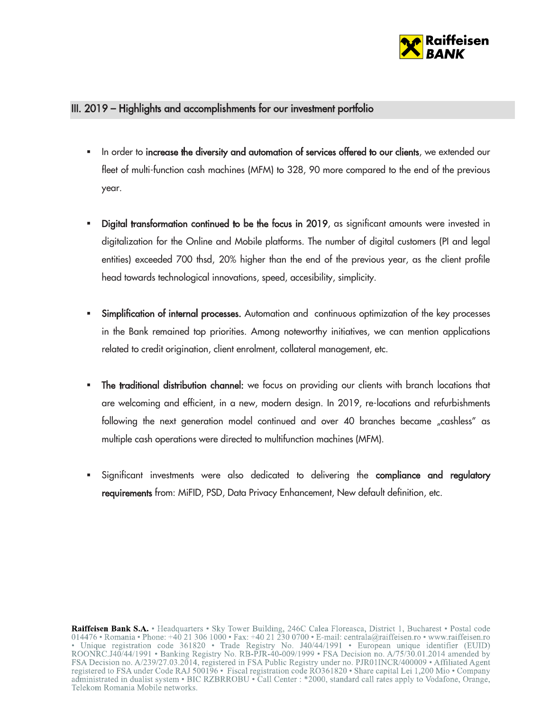

## III. 2019 – Highlights and accomplishments for our investment portfolio

- In order to increase the diversity and automation of services offered to our clients, we extended our fleet of multi-function cash machines (MFM) to 328, 90 more compared to the end of the previous year.
- Digital transformation continued to be the focus in 2019, as significant amounts were invested in digitalization for the Online and Mobile platforms. The number of digital customers (PI and legal entities) exceeded 700 thsd, 20% higher than the end of the previous year, as the client profile head towards technological innovations, speed, accesibility, simplicity.
- Simplification of internal processes. Automation and continuous optimization of the key processes in the Bank remained top priorities. Among noteworthy initiatives, we can mention applications related to credit origination, client enrolment, collateral management, etc.
- The traditional distribution channel: we focus on providing our clients with branch locations that are welcoming and efficient, in a new, modern design. In 2019, re-locations and refurbishments following the next generation model continued and over 40 branches became "cashless" as multiple cash operations were directed to multifunction machines (MFM).
- Significant investments were also dedicated to delivering the compliance and regulatory requirements from: MiFID, PSD, Data Privacy Enhancement, New default definition, etc.

Raiffeisen Bank S.A. • Headquarters • Sky Tower Building, 246C Calea Floreasca, District 1, Bucharest • Postal code 014476 • Romania • Phone: +40 21 306 1000 • Fax: +40 21 230 0700 • E-mail: centrala@raiffeisen.ro • www.raiffeisen.ro • Unique registration code 361820 • Trade Registry No. J40/44/1991 • European unique identifier (EUID)<br>ROONRC.J40/44/1991 • Banking Registry No. RB-PJR-40-009/1999 • FSA Decision no. A/75/30.01.2014 amended by FSA Decision no. A/239/27.03.2014, registered in FSA Public Registry under no. PJR01INCR/400009 • Affiliated Agent registered to FSA under Code RAJ 500196 • Fiscal registration code RO361820 • Share capital Lei 1,200 Mio • Company administrated in dualist system • BIC RZBRROBU • Call Center : \*2000, standard call rates apply to Vodafone, Orange, Telekom Romania Mobile networks.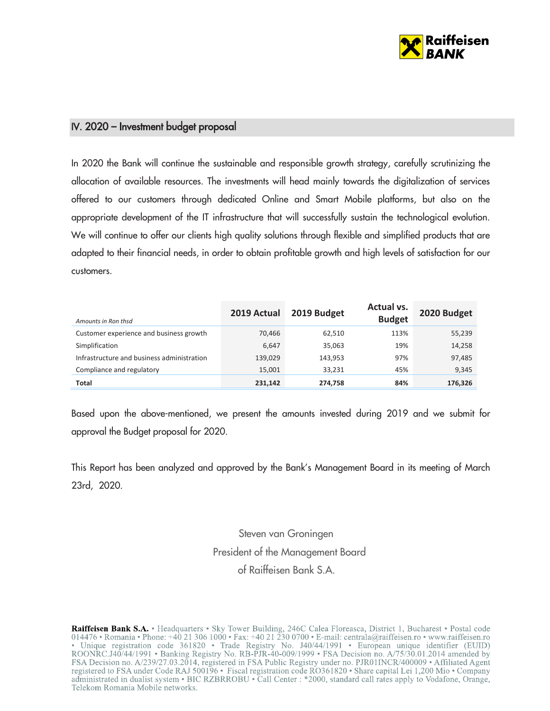

## IV. 2020 – Investment budget proposal

In 2020 the Bank will continue the sustainable and responsible growth strategy, carefully scrutinizing the allocation of available resources. The investments will head mainly towards the digitalization of services offered to our customers through dedicated Online and Smart Mobile platforms, but also on the appropriate development of the IT infrastructure that will successfully sustain the technological evolution. We will continue to offer our clients high quality solutions through flexible and simplified products that are adapted to their financial needs, in order to obtain profitable growth and high levels of satisfaction for our customers.

| Amounts in Ron thsd                        | 2019 Actual | 2019 Budget | Actual vs.<br><b>Budget</b> | 2020 Budget |
|--------------------------------------------|-------------|-------------|-----------------------------|-------------|
| Customer experience and business growth    | 70.466      | 62,510      | 113%                        | 55,239      |
| Simplification                             | 6,647       | 35,063      | 19%                         | 14,258      |
| Infrastructure and business administration | 139,029     | 143,953     | 97%                         | 97,485      |
| Compliance and regulatory                  | 15,001      | 33,231      | 45%                         | 9,345       |
| Total                                      | 231,142     | 274,758     | 84%                         | 176,326     |

Based upon the above-mentioned, we present the amounts invested during 2019 and we submit for approval the Budget proposal for 2020.

This Report has been analyzed and approved by the Bank's Management Board in its meeting of March 23rd, 2020.

> Steven van Groningen President of the Management Board of Raiffeisen Bank S.A.

Raiffeisen Bank S.A. • Headquarters • Sky Tower Building, 246C Calea Floreasca, District 1, Bucharest • Postal code 014476 • Romania • Phone: +40 21 306 1000 • Fax: +40 21 230 0700 • E-mail: centrala@raiffeisen.ro • www.raiffeisen.ro · Unique registration code 361820 · Trade Registry No. J40/44/1991 · European unique identifier (EUID) ROONRC.J40/44/1991 • Banking Registry No. RB-PJR-40-009/1999 • FSA Decision no. A/75/30.01.2014 amended by FSA Decision no. A/239/27.03.2014, registered in FSA Public Registry under no. PJR01INCR/400009 • Affiliated Agent registered to FSA under Code RAJ 500196 • Fiscal registration code RO361820 • Share capital Lei 1,200 Mio • Company administrated in dualist system • BIC RZBRROBU • Call Center : \*2000, standard call rates apply to Vodafone, Orange, Telekom Romania Mobile networks.